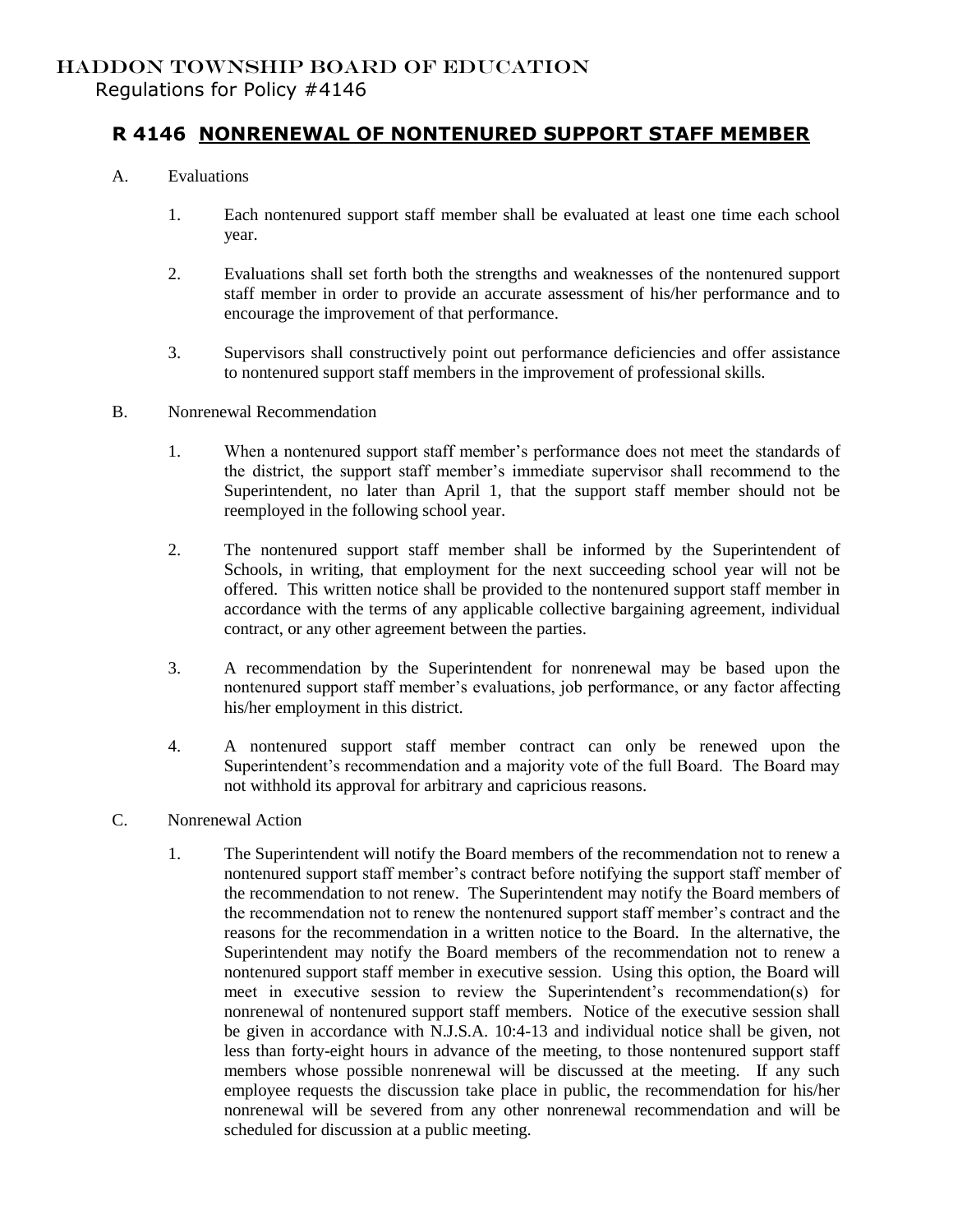## HADDON TOWNSHIP BOARD OF EDUCATION

Regulations for Policy #4146

## **R 4146 NONRENEWAL OF NONTENURED SUPPORT STAFF MEMBER**

- A. Evaluations
	- 1. Each nontenured support staff member shall be evaluated at least one time each school year.
	- 2. Evaluations shall set forth both the strengths and weaknesses of the nontenured support staff member in order to provide an accurate assessment of his/her performance and to encourage the improvement of that performance.
	- 3. Supervisors shall constructively point out performance deficiencies and offer assistance to nontenured support staff members in the improvement of professional skills.
- B. Nonrenewal Recommendation
	- 1. When a nontenured support staff member's performance does not meet the standards of the district, the support staff member's immediate supervisor shall recommend to the Superintendent, no later than April 1, that the support staff member should not be reemployed in the following school year.
	- 2. The nontenured support staff member shall be informed by the Superintendent of Schools, in writing, that employment for the next succeeding school year will not be offered. This written notice shall be provided to the nontenured support staff member in accordance with the terms of any applicable collective bargaining agreement, individual contract, or any other agreement between the parties.
	- 3. A recommendation by the Superintendent for nonrenewal may be based upon the nontenured support staff member's evaluations, job performance, or any factor affecting his/her employment in this district.
	- 4. A nontenured support staff member contract can only be renewed upon the Superintendent's recommendation and a majority vote of the full Board. The Board may not withhold its approval for arbitrary and capricious reasons.
- C. Nonrenewal Action
	- 1. The Superintendent will notify the Board members of the recommendation not to renew a nontenured support staff member's contract before notifying the support staff member of the recommendation to not renew. The Superintendent may notify the Board members of the recommendation not to renew the nontenured support staff member's contract and the reasons for the recommendation in a written notice to the Board. In the alternative, the Superintendent may notify the Board members of the recommendation not to renew a nontenured support staff member in executive session. Using this option, the Board will meet in executive session to review the Superintendent's recommendation(s) for nonrenewal of nontenured support staff members. Notice of the executive session shall be given in accordance with N.J.S.A. 10:4-13 and individual notice shall be given, not less than forty-eight hours in advance of the meeting, to those nontenured support staff members whose possible nonrenewal will be discussed at the meeting. If any such employee requests the discussion take place in public, the recommendation for his/her nonrenewal will be severed from any other nonrenewal recommendation and will be scheduled for discussion at a public meeting.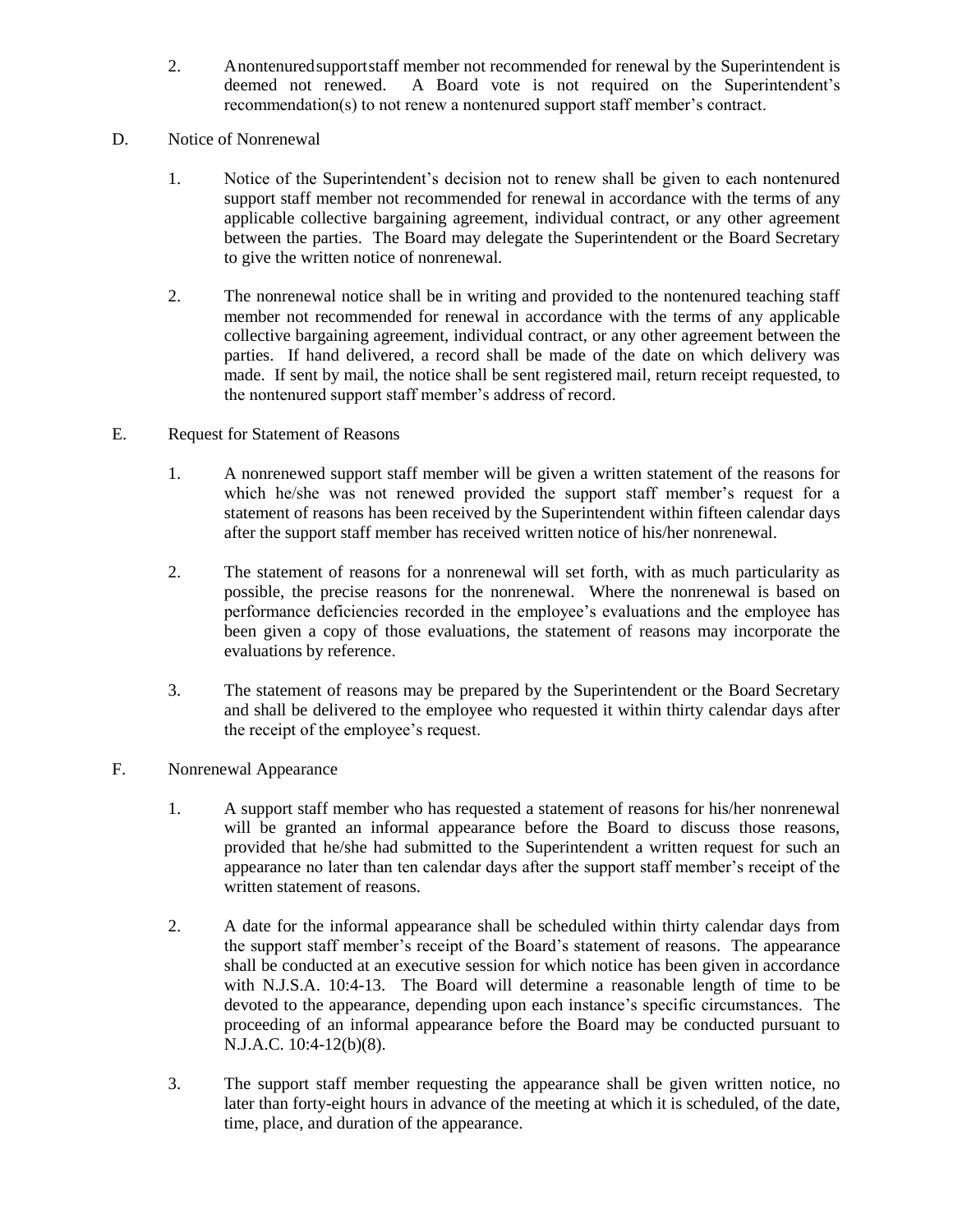- 2. Anontenuredsupportstaff member not recommended for renewal by the Superintendent is deemed not renewed. A Board vote is not required on the Superintendent's recommendation(s) to not renew a nontenured support staff member's contract.
- D. Notice of Nonrenewal
	- 1. Notice of the Superintendent's decision not to renew shall be given to each nontenured support staff member not recommended for renewal in accordance with the terms of any applicable collective bargaining agreement, individual contract, or any other agreement between the parties. The Board may delegate the Superintendent or the Board Secretary to give the written notice of nonrenewal.
	- 2. The nonrenewal notice shall be in writing and provided to the nontenured teaching staff member not recommended for renewal in accordance with the terms of any applicable collective bargaining agreement, individual contract, or any other agreement between the parties. If hand delivered, a record shall be made of the date on which delivery was made. If sent by mail, the notice shall be sent registered mail, return receipt requested, to the nontenured support staff member's address of record.
- E. Request for Statement of Reasons
	- 1. A nonrenewed support staff member will be given a written statement of the reasons for which he/she was not renewed provided the support staff member's request for a statement of reasons has been received by the Superintendent within fifteen calendar days after the support staff member has received written notice of his/her nonrenewal.
	- 2. The statement of reasons for a nonrenewal will set forth, with as much particularity as possible, the precise reasons for the nonrenewal. Where the nonrenewal is based on performance deficiencies recorded in the employee's evaluations and the employee has been given a copy of those evaluations, the statement of reasons may incorporate the evaluations by reference.
	- 3. The statement of reasons may be prepared by the Superintendent or the Board Secretary and shall be delivered to the employee who requested it within thirty calendar days after the receipt of the employee's request.
- F. Nonrenewal Appearance
	- 1. A support staff member who has requested a statement of reasons for his/her nonrenewal will be granted an informal appearance before the Board to discuss those reasons, provided that he/she had submitted to the Superintendent a written request for such an appearance no later than ten calendar days after the support staff member's receipt of the written statement of reasons.
	- 2. A date for the informal appearance shall be scheduled within thirty calendar days from the support staff member's receipt of the Board's statement of reasons. The appearance shall be conducted at an executive session for which notice has been given in accordance with N.J.S.A. 10:4-13. The Board will determine a reasonable length of time to be devoted to the appearance, depending upon each instance's specific circumstances. The proceeding of an informal appearance before the Board may be conducted pursuant to N.J.A.C. 10:4-12(b)(8).
	- 3. The support staff member requesting the appearance shall be given written notice, no later than forty-eight hours in advance of the meeting at which it is scheduled, of the date, time, place, and duration of the appearance.